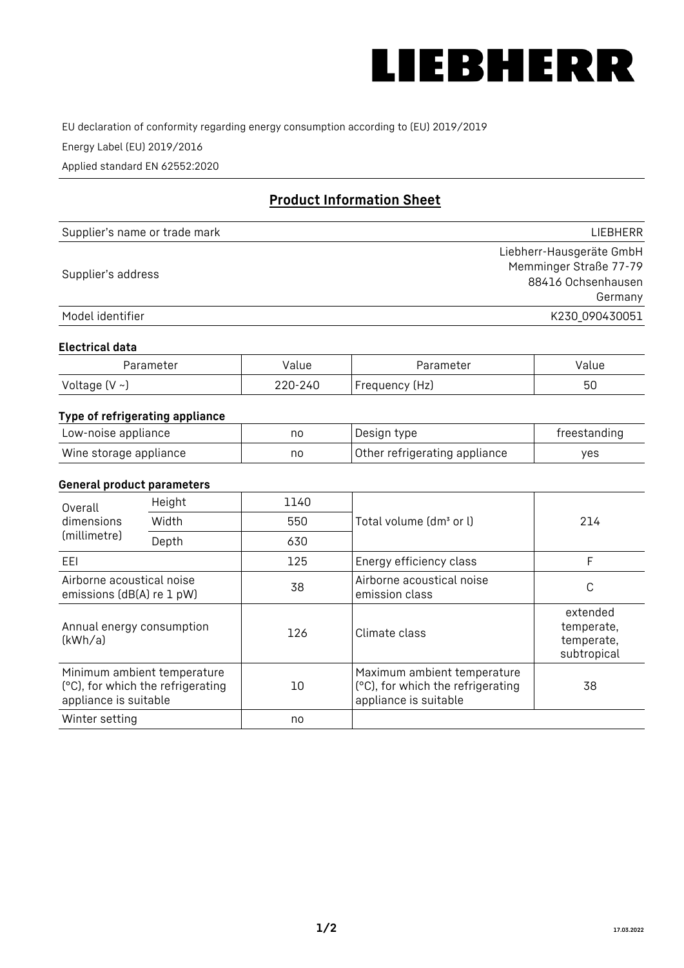

EU declaration of conformity regarding energy consumption according to (EU) 2019/2019

Energy Label (EU) 2019/2016

Applied standard EN 62552:2020

# **Product Information Sheet**

| Supplier's name or trade mark | <b>LIFBHFRR</b>          |
|-------------------------------|--------------------------|
|                               | Liebherr-Hausgeräte GmbH |
|                               | Memminger Straße 77-79   |
| Supplier's address            | 88416 Ochsenhausen       |
|                               | Germany                  |
| Model identifier              | K230_090430051           |

#### **Electrical data**

| Parameter     | Value   | Parameter      | Value |
|---------------|---------|----------------|-------|
| Voltage (V ~) | 220-240 | Frequency (Hz) | 50    |

## **Type of refrigerating appliance**

| Low-noise appliance    | no | Design type                   | freestanding |
|------------------------|----|-------------------------------|--------------|
| Wine storage appliance | no | Other refrigerating appliance | ves          |

### **General product parameters**

| Height<br>Overall                                      |                                                                  | 1140 |                                                                                           |                                                     |
|--------------------------------------------------------|------------------------------------------------------------------|------|-------------------------------------------------------------------------------------------|-----------------------------------------------------|
| dimensions<br>(millimetre)                             | Width                                                            | 550  | Total volume (dm <sup>3</sup> or l)                                                       | 214                                                 |
|                                                        | Depth                                                            | 630  |                                                                                           |                                                     |
| EEL                                                    |                                                                  | 125  | Energy efficiency class                                                                   | F                                                   |
| Airborne acoustical noise<br>emissions (dB(A) re 1 pW) |                                                                  | 38   | Airborne acoustical noise<br>emission class                                               | C                                                   |
| Annual energy consumption<br>(kWh/a)                   |                                                                  | 126  | Climate class                                                                             | extended<br>temperate,<br>temperate,<br>subtropical |
| appliance is suitable                                  | Minimum ambient temperature<br>(°C), for which the refrigerating | 10   | Maximum ambient temperature<br>(°C), for which the refrigerating<br>appliance is suitable | 38                                                  |
| Winter setting                                         |                                                                  | no   |                                                                                           |                                                     |